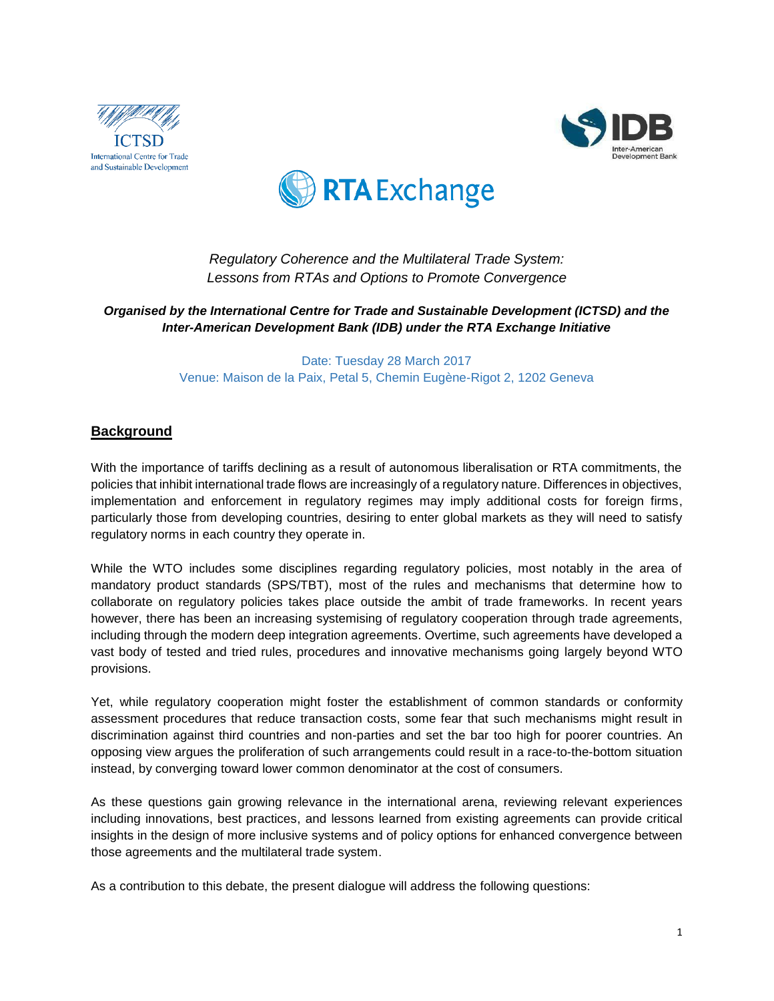





*Regulatory Coherence and the Multilateral Trade System: Lessons from RTAs and Options to Promote Convergence*

*Organised by the International Centre for Trade and Sustainable Development (ICTSD) and the Inter-American Development Bank (IDB) under the RTA Exchange Initiative* 

> Date: Tuesday 28 March 2017 Venue: Maison de la Paix, Petal 5, Chemin Eugène-Rigot 2, 1202 Geneva

# **Background**

With the importance of tariffs declining as a result of autonomous liberalisation or RTA commitments, the policies that inhibit international trade flows are increasingly of a regulatory nature. Differences in objectives, implementation and enforcement in regulatory regimes may imply additional costs for foreign firms, particularly those from developing countries, desiring to enter global markets as they will need to satisfy regulatory norms in each country they operate in.

While the WTO includes some disciplines regarding regulatory policies, most notably in the area of mandatory product standards (SPS/TBT), most of the rules and mechanisms that determine how to collaborate on regulatory policies takes place outside the ambit of trade frameworks. In recent years however, there has been an increasing systemising of regulatory cooperation through trade agreements, including through the modern deep integration agreements. Overtime, such agreements have developed a vast body of tested and tried rules, procedures and innovative mechanisms going largely beyond WTO provisions.

Yet, while regulatory cooperation might foster the establishment of common standards or conformity assessment procedures that reduce transaction costs, some fear that such mechanisms might result in discrimination against third countries and non-parties and set the bar too high for poorer countries. An opposing view argues the proliferation of such arrangements could result in a race-to-the-bottom situation instead, by converging toward lower common denominator at the cost of consumers.

As these questions gain growing relevance in the international arena, reviewing relevant experiences including innovations, best practices, and lessons learned from existing agreements can provide critical insights in the design of more inclusive systems and of policy options for enhanced convergence between those agreements and the multilateral trade system.

As a contribution to this debate, the present dialogue will address the following questions: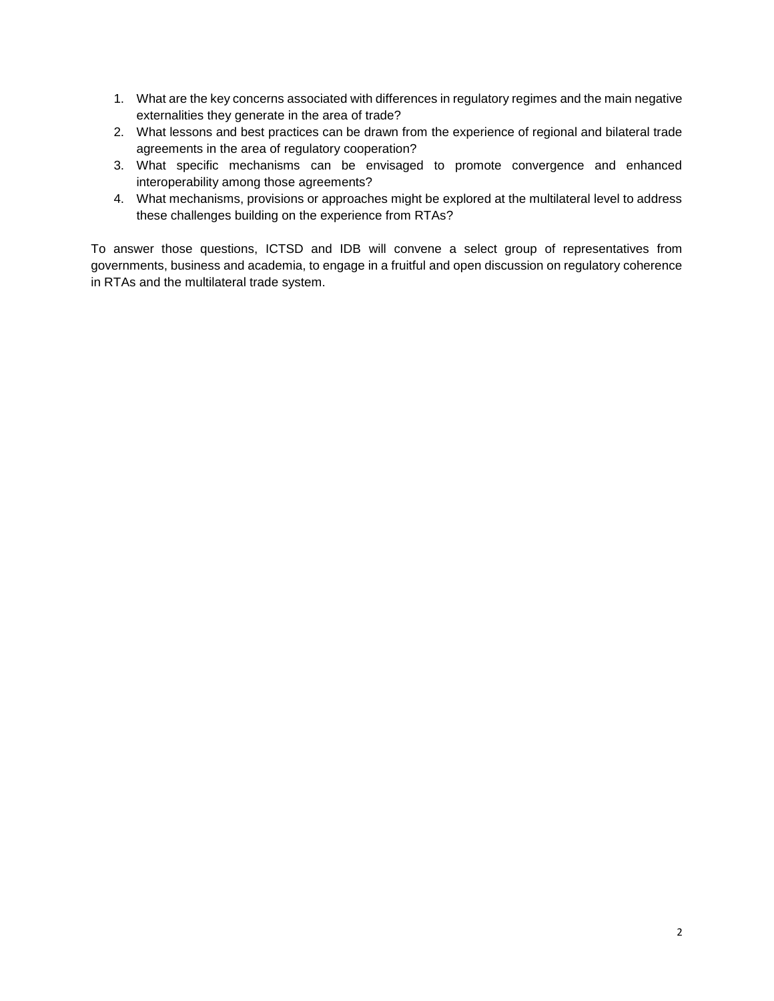- 1. What are the key concerns associated with differences in regulatory regimes and the main negative externalities they generate in the area of trade?
- 2. What lessons and best practices can be drawn from the experience of regional and bilateral trade agreements in the area of regulatory cooperation?
- 3. What specific mechanisms can be envisaged to promote convergence and enhanced interoperability among those agreements?
- 4. What mechanisms, provisions or approaches might be explored at the multilateral level to address these challenges building on the experience from RTAs?

To answer those questions, ICTSD and IDB will convene a select group of representatives from governments, business and academia, to engage in a fruitful and open discussion on regulatory coherence in RTAs and the multilateral trade system.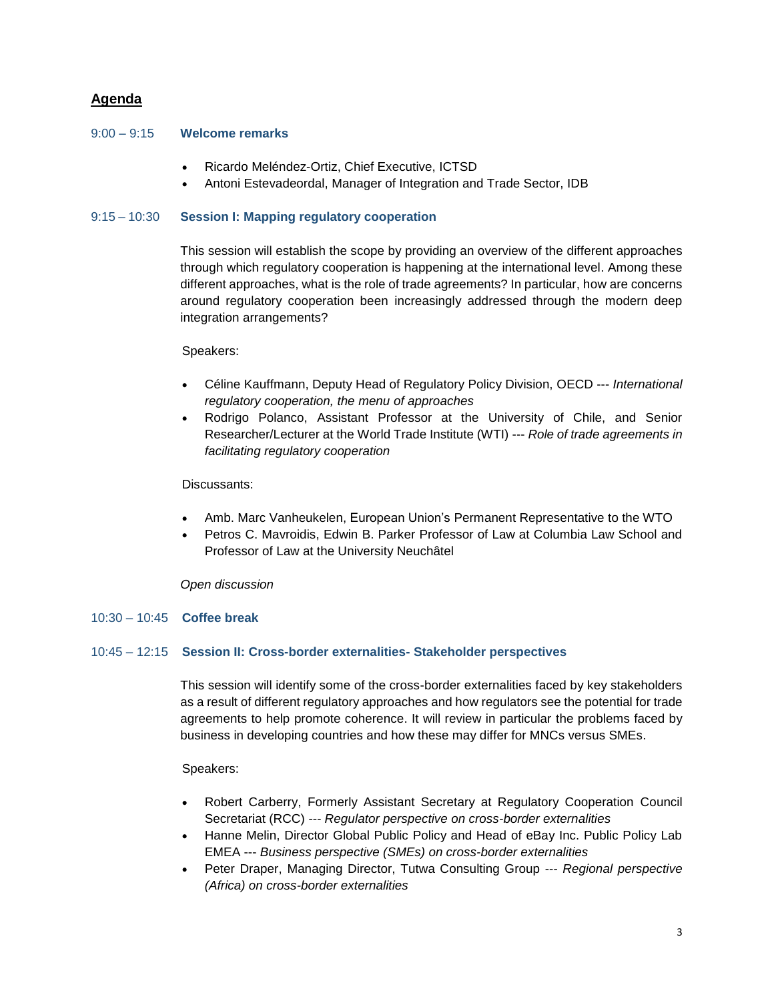# **Agenda**

## 9:00 – 9:15 **Welcome remarks**

- Ricardo Meléndez-Ortiz, Chief Executive, ICTSD
- Antoni Estevadeordal, Manager of Integration and Trade Sector, IDB

# 9:15 – 10:30 **Session I: Mapping regulatory cooperation**

This session will establish the scope by providing an overview of the different approaches through which regulatory cooperation is happening at the international level. Among these different approaches, what is the role of trade agreements? In particular, how are concerns around regulatory cooperation been increasingly addressed through the modern deep integration arrangements?

## Speakers:

- Céline Kauffmann, Deputy Head of Regulatory Policy Division, OECD --- *International regulatory cooperation, the menu of approaches*
- Rodrigo Polanco, Assistant Professor at the University of Chile, and Senior Researcher/Lecturer at the World Trade Institute (WTI) --- *Role of trade agreements in facilitating regulatory cooperation*

## Discussants:

- Amb. Marc Vanheukelen, European Union's Permanent Representative to the WTO
- Petros C. Mavroidis, Edwin B. Parker Professor of Law at Columbia Law School and Professor of Law at the University Neuchâtel

## *Open discussion*

## 10:30 – 10:45 **Coffee break**

## 10:45 – 12:15 **Session II: Cross-border externalities- Stakeholder perspectives**

This session will identify some of the cross-border externalities faced by key stakeholders as a result of different regulatory approaches and how regulators see the potential for trade agreements to help promote coherence. It will review in particular the problems faced by business in developing countries and how these may differ for MNCs versus SMEs.

Speakers:

- Robert Carberry, Formerly Assistant Secretary at Regulatory Cooperation Council Secretariat (RCC) *--- Regulator perspective on cross-border externalities*
- Hanne Melin, Director Global Public Policy and Head of eBay Inc. Public Policy Lab EMEA --- *Business perspective (SMEs) on cross-border externalities*
- Peter Draper, Managing Director, Tutwa Consulting Group --- *Regional perspective (Africa) on cross-border externalities*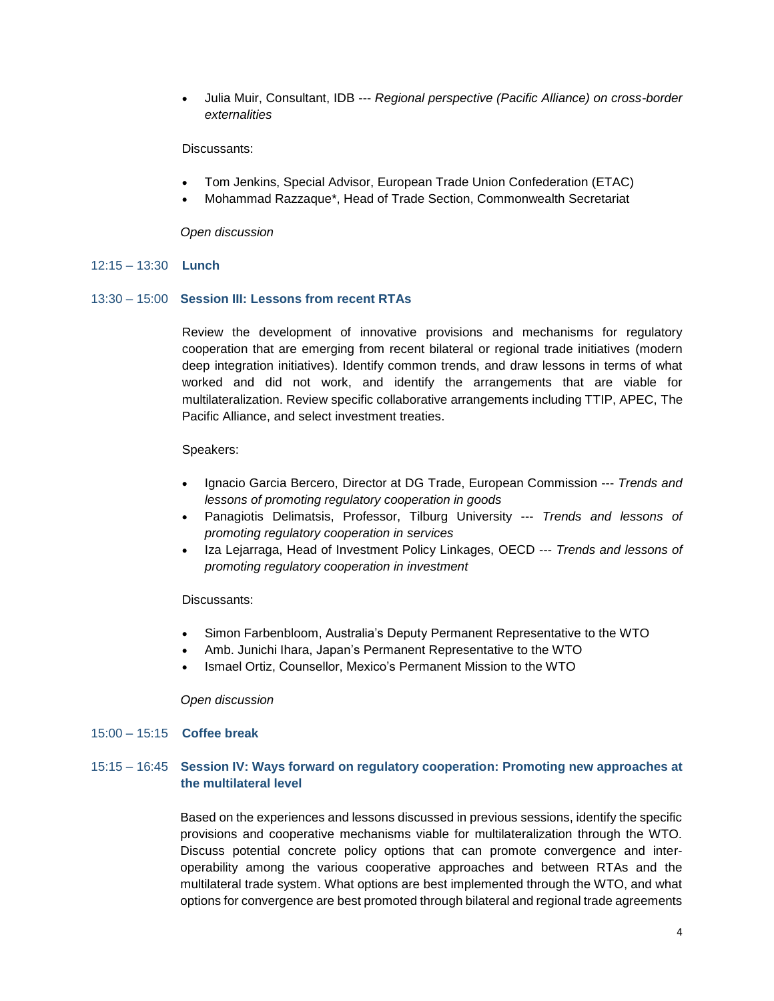Julia Muir, Consultant, IDB --- *Regional perspective (Pacific Alliance) on cross-border externalities*

#### Discussants:

- Tom Jenkins, Special Advisor, European Trade Union Confederation (ETAC)
- Mohammad Razzaque\*, Head of Trade Section, Commonwealth Secretariat

#### *Open discussion*

#### 12:15 – 13:30 **Lunch**

## 13:30 – 15:00 **Session III: Lessons from recent RTAs**

Review the development of innovative provisions and mechanisms for regulatory cooperation that are emerging from recent bilateral or regional trade initiatives (modern deep integration initiatives). Identify common trends, and draw lessons in terms of what worked and did not work, and identify the arrangements that are viable for multilateralization. Review specific collaborative arrangements including TTIP, APEC, The Pacific Alliance, and select investment treaties.

#### Speakers:

- Ignacio Garcia Bercero, Director at DG Trade, European Commission --- *Trends and lessons of promoting regulatory cooperation in goods*
- Panagiotis Delimatsis, Professor, Tilburg University --- *Trends and lessons of promoting regulatory cooperation in services*
- Iza Lejarraga, Head of Investment Policy Linkages, OECD --- *Trends and lessons of promoting regulatory cooperation in investment*

#### Discussants:

- Simon Farbenbloom, Australia's Deputy Permanent Representative to the WTO
- Amb. Junichi Ihara, Japan's Permanent Representative to the WTO
- Ismael Ortiz, Counsellor, Mexico's Permanent Mission to the WTO

#### *Open discussion*

#### 15:00 – 15:15 **Coffee break**

# 15:15 – 16:45 **Session IV: Ways forward on regulatory cooperation: Promoting new approaches at the multilateral level**

Based on the experiences and lessons discussed in previous sessions, identify the specific provisions and cooperative mechanisms viable for multilateralization through the WTO. Discuss potential concrete policy options that can promote convergence and interoperability among the various cooperative approaches and between RTAs and the multilateral trade system. What options are best implemented through the WTO, and what options for convergence are best promoted through bilateral and regional trade agreements